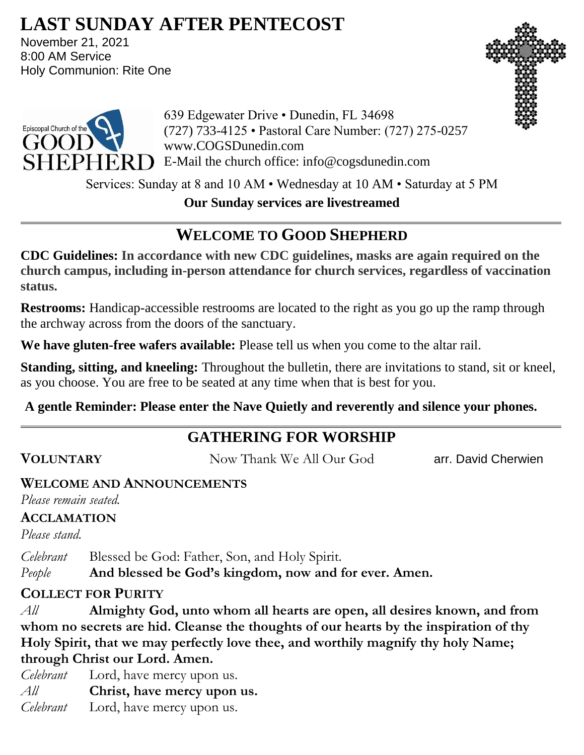# **LAST SUNDAY AFTER PENTECOST**

November 21, 2021 8:00 AM Service Holy Communion: Rite One





639 Edgewater Drive • Dunedin, FL 34698 (727) 733-4125 • Pastoral Care Number: (727) 275-0257 www.COGSDunedin.com  $SHEPHERD$  E-Mail the church office: info@cogsdunedin.com

Services: Sunday at 8 and 10 AM • Wednesday at 10 AM • Saturday at 5 PM

**Our Sunday services are livestreamed**

# **WELCOME TO GOOD SHEPHERD**

**CDC Guidelines: In accordance with new CDC guidelines, masks are again required on the church campus, including in-person attendance for church services, regardless of vaccination status.**

**Restrooms:** Handicap-accessible restrooms are located to the right as you go up the ramp through the archway across from the doors of the sanctuary.

**We have gluten-free wafers available:** Please tell us when you come to the altar rail.

**Standing, sitting, and kneeling:** Throughout the bulletin, there are invitations to stand, sit or kneel, as you choose. You are free to be seated at any time when that is best for you.

**A gentle Reminder: Please enter the Nave Quietly and reverently and silence your phones.**

# **GATHERING FOR WORSHIP**

**VOLUNTARY** Now Thank We All Our God arr. David Cherwien

## **WELCOME AND ANNOUNCEMENTS**

*Please remain seated.*

## **ACCLAMATION**

*Please stand.*

*Celebrant* Blessed be God: Father, Son, and Holy Spirit. *People* **And blessed be God's kingdom, now and for ever. Amen.**

# **COLLECT FOR PURITY**

*All* **Almighty God, unto whom all hearts are open, all desires known, and from whom no secrets are hid. Cleanse the thoughts of our hearts by the inspiration of thy Holy Spirit, that we may perfectly love thee, and worthily magnify thy holy Name; through Christ our Lord. Amen.**

*Celebrant* Lord, have mercy upon us. *All* **Christ, have mercy upon us.** *Celebrant* Lord, have mercy upon us.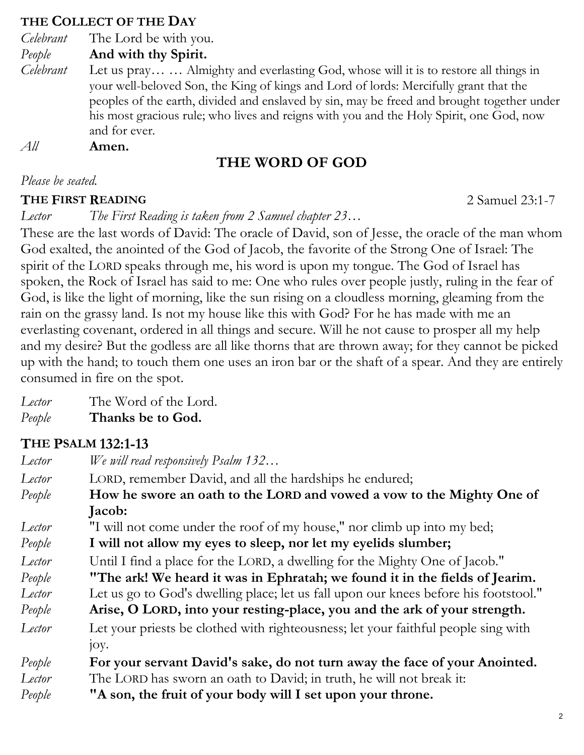#### **THE COLLECT OF THE DAY**

*Celebrant* The Lord be with you.

*People* **And with thy Spirit.**

*Celebrant* Let us pray… … Almighty and everlasting God, whose will it is to restore all things in your well-beloved Son, the King of kings and Lord of lords: Mercifully grant that the peoples of the earth, divided and enslaved by sin, may be freed and brought together under his most gracious rule; who lives and reigns with you and the Holy Spirit, one God, now and for ever.

*All* **Amen.**

# **THE WORD OF GOD**

#### *Please be seated.*

#### **THE FIRST READING** 2 Samuel 23:1-7

*Lector The First Reading is taken from 2 Samuel chapter 23…*

These are the last words of David: The oracle of David, son of Jesse, the oracle of the man whom God exalted, the anointed of the God of Jacob, the favorite of the Strong One of Israel: The spirit of the LORD speaks through me, his word is upon my tongue. The God of Israel has spoken, the Rock of Israel has said to me: One who rules over people justly, ruling in the fear of God, is like the light of morning, like the sun rising on a cloudless morning, gleaming from the rain on the grassy land. Is not my house like this with God? For he has made with me an everlasting covenant, ordered in all things and secure. Will he not cause to prosper all my help and my desire? But the godless are all like thorns that are thrown away; for they cannot be picked up with the hand; to touch them one uses an iron bar or the shaft of a spear. And they are entirely consumed in fire on the spot.

*Lector* The Word of the Lord.

*People* **Thanks be to God.**

# **THE PSALM 132:1-13**

| Lector | We will read responsively Psalm 132                                                  |  |
|--------|--------------------------------------------------------------------------------------|--|
| Lector | LORD, remember David, and all the hardships he endured;                              |  |
| People | How he swore an oath to the LORD and vowed a vow to the Mighty One of                |  |
|        | Jacob:                                                                               |  |
| Lector | "I will not come under the roof of my house," nor climb up into my bed;              |  |
| People | I will not allow my eyes to sleep, nor let my eyelids slumber;                       |  |
| Lector | Until I find a place for the LORD, a dwelling for the Mighty One of Jacob."          |  |
| People | "The ark! We heard it was in Ephratah; we found it in the fields of Jearim.          |  |
| Lector | Let us go to God's dwelling place; let us fall upon our knees before his footstool." |  |
| People | Arise, O LORD, into your resting-place, you and the ark of your strength.            |  |
| Lector | Let your priests be clothed with righteousness; let your faithful people sing with   |  |
|        | joy.                                                                                 |  |
| People | For your servant David's sake, do not turn away the face of your Anointed.           |  |
| Lector | The LORD has sworn an oath to David; in truth, he will not break it:                 |  |
| People | "A son, the fruit of your body will I set upon your throne.                          |  |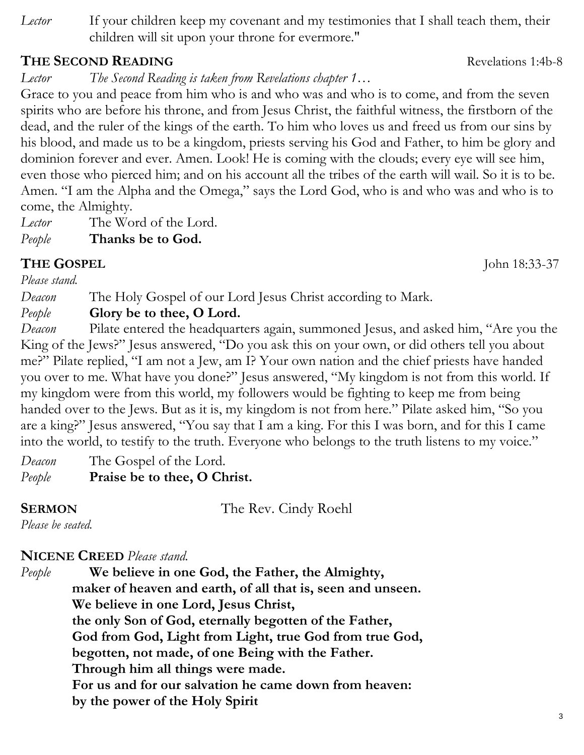*Lector* If your children keep my covenant and my testimonies that I shall teach them, their children will sit upon your throne for evermore."

#### **THE SECOND READING** Revelations 1:4b-8

*Lector The Second Reading is taken from Revelations chapter 1…*

Grace to you and peace from him who is and who was and who is to come, and from the seven spirits who are before his throne, and from Jesus Christ, the faithful witness, the firstborn of the dead, and the ruler of the kings of the earth. To him who loves us and freed us from our sins by his blood, and made us to be a kingdom, priests serving his God and Father, to him be glory and dominion forever and ever. Amen. Look! He is coming with the clouds; every eye will see him, even those who pierced him; and on his account all the tribes of the earth will wail. So it is to be. Amen. "I am the Alpha and the Omega," says the Lord God, who is and who was and who is to come, the Almighty.

*Lector* The Word of the Lord.

*People* **Thanks be to God.**

# **THE GOSPEL** John 18:33-37

*Please stand.*

*Deacon* The Holy Gospel of our Lord Jesus Christ according to Mark.

## *People* **Glory be to thee, O Lord.**

*Deacon* Pilate entered the headquarters again, summoned Jesus, and asked him, "Are you the King of the Jews?" Jesus answered, "Do you ask this on your own, or did others tell you about me?" Pilate replied, "I am not a Jew, am I? Your own nation and the chief priests have handed you over to me. What have you done?" Jesus answered, "My kingdom is not from this world. If my kingdom were from this world, my followers would be fighting to keep me from being handed over to the Jews. But as it is, my kingdom is not from here." Pilate asked him, "So you are a king?" Jesus answered, "You say that I am a king. For this I was born, and for this I came into the world, to testify to the truth. Everyone who belongs to the truth listens to my voice."

*Deacon* The Gospel of the Lord. *People* **Praise be to thee, O Christ.**

**SERMON** The Rev. Cindy Roehl

#### *Please be seated.*

# **NICENE CREED** *Please stand.*

*People* **We believe in one God, the Father, the Almighty, maker of heaven and earth, of all that is, seen and unseen. We believe in one Lord, Jesus Christ, the only Son of God, eternally begotten of the Father, God from God, Light from Light, true God from true God, begotten, not made, of one Being with the Father. Through him all things were made. For us and for our salvation he came down from heaven: by the power of the Holy Spirit**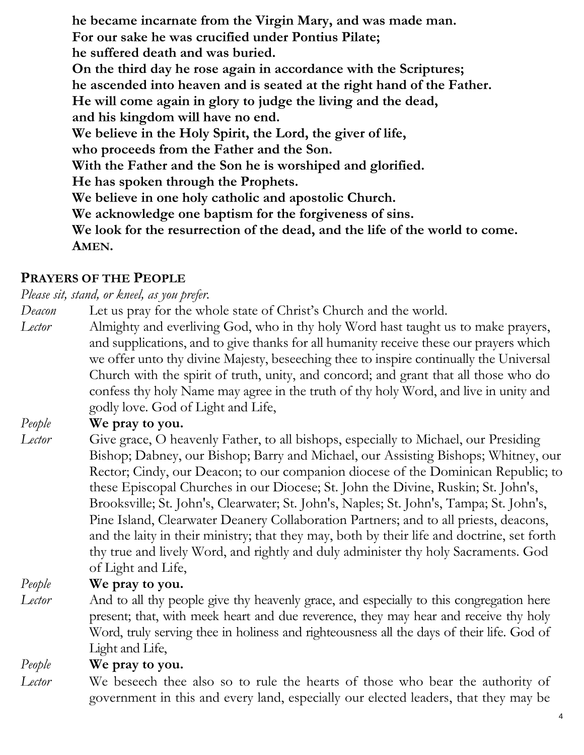**he became incarnate from the Virgin Mary, and was made man. For our sake he was crucified under Pontius Pilate; he suffered death and was buried. On the third day he rose again in accordance with the Scriptures; he ascended into heaven and is seated at the right hand of the Father. He will come again in glory to judge the living and the dead, and his kingdom will have no end. We believe in the Holy Spirit, the Lord, the giver of life, who proceeds from the Father and the Son. With the Father and the Son he is worshiped and glorified. He has spoken through the Prophets. We believe in one holy catholic and apostolic Church. We acknowledge one baptism for the forgiveness of sins. We look for the resurrection of the dead, and the life of the world to come. AMEN.**

# **PRAYERS OF THE PEOPLE**

*Please sit, stand, or kneel, as you prefer.*

- *Deacon* Let us pray for the whole state of Christ's Church and the world.
- *Lector* Almighty and everliving God, who in thy holy Word hast taught us to make prayers, and supplications, and to give thanks for all humanity receive these our prayers which we offer unto thy divine Majesty, beseeching thee to inspire continually the Universal Church with the spirit of truth, unity, and concord; and grant that all those who do confess thy holy Name may agree in the truth of thy holy Word, and live in unity and godly love. God of Light and Life,

#### *People* **We pray to you.**

*Lector* Give grace, O heavenly Father, to all bishops, especially to Michael, our Presiding Bishop; Dabney, our Bishop; Barry and Michael, our Assisting Bishops; Whitney, our Rector; Cindy, our Deacon; to our companion diocese of the Dominican Republic; to these Episcopal Churches in our Diocese; St. John the Divine, Ruskin; St. John's, Brooksville; St. John's, Clearwater; St. John's, Naples; St. John's, Tampa; St. John's, Pine Island, Clearwater Deanery Collaboration Partners; and to all priests, deacons, and the laity in their ministry; that they may, both by their life and doctrine, set forth thy true and lively Word, and rightly and duly administer thy holy Sacraments. God of Light and Life,

*People* **We pray to you.**

*Lector* And to all thy people give thy heavenly grace, and especially to this congregation here present; that, with meek heart and due reverence, they may hear and receive thy holy Word, truly serving thee in holiness and righteousness all the days of their life. God of Light and Life,

*People* **We pray to you.**

*Lector* We beseech thee also so to rule the hearts of those who bear the authority of government in this and every land, especially our elected leaders, that they may be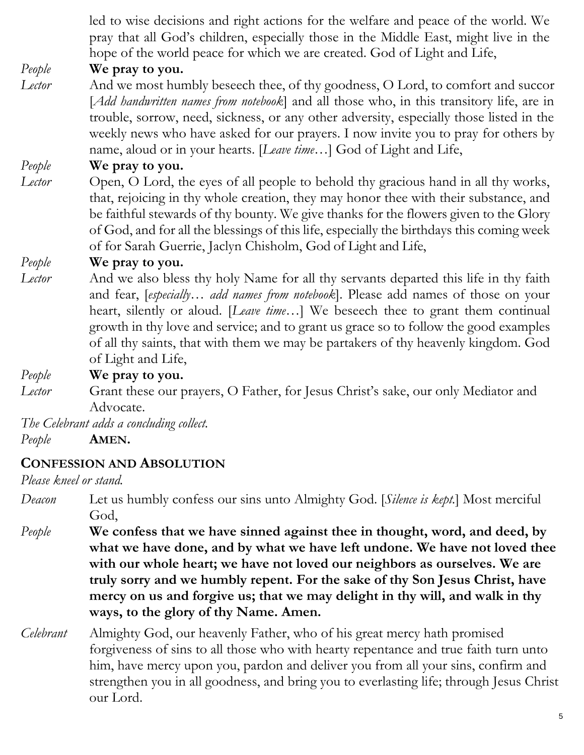led to wise decisions and right actions for the welfare and peace of the world. We pray that all God's children, especially those in the Middle East, might live in the hope of the world peace for which we are created. God of Light and Life,

## *People* **We pray to you.**

*Lector* And we most humbly beseech thee, of thy goodness, O Lord, to comfort and succor [*Add handwritten names from notebook*] and all those who, in this transitory life, are in trouble, sorrow, need, sickness, or any other adversity, especially those listed in the weekly news who have asked for our prayers. I now invite you to pray for others by name, aloud or in your hearts. [*Leave time…*] God of Light and Life,

#### *People* **We pray to you.**

*Lector* Open, O Lord, the eyes of all people to behold thy gracious hand in all thy works, that, rejoicing in thy whole creation, they may honor thee with their substance, and be faithful stewards of thy bounty. We give thanks for the flowers given to the Glory of God, and for all the blessings of this life, especially the birthdays this coming week of for Sarah Guerrie, Jaclyn Chisholm, God of Light and Life,

#### *People* **We pray to you.**

*Lector* And we also bless thy holy Name for all thy servants departed this life in thy faith and fear, [*especially… add names from notebook*]. Please add names of those on your heart, silently or aloud. [*Leave time…*] We beseech thee to grant them continual growth in thy love and service; and to grant us grace so to follow the good examples of all thy saints, that with them we may be partakers of thy heavenly kingdom. God of Light and Life,

#### *People* **We pray to you.**

*Lector* Grant these our prayers, O Father, for Jesus Christ's sake, our only Mediator and Advocate.

*The Celebrant adds a concluding collect.* 

*People* **AMEN.**

#### **CONFESSION AND ABSOLUTION**

#### *Please kneel or stand.*

- *Deacon* Let us humbly confess our sins unto Almighty God. [*Silence is kept.*] Most merciful God,
- *People* **We confess that we have sinned against thee in thought, word, and deed, by what we have done, and by what we have left undone. We have not loved thee with our whole heart; we have not loved our neighbors as ourselves. We are truly sorry and we humbly repent. For the sake of thy Son Jesus Christ, have mercy on us and forgive us; that we may delight in thy will, and walk in thy ways, to the glory of thy Name. Amen.**
- *Celebrant* Almighty God, our heavenly Father, who of his great mercy hath promised forgiveness of sins to all those who with hearty repentance and true faith turn unto him, have mercy upon you, pardon and deliver you from all your sins, confirm and strengthen you in all goodness, and bring you to everlasting life; through Jesus Christ our Lord.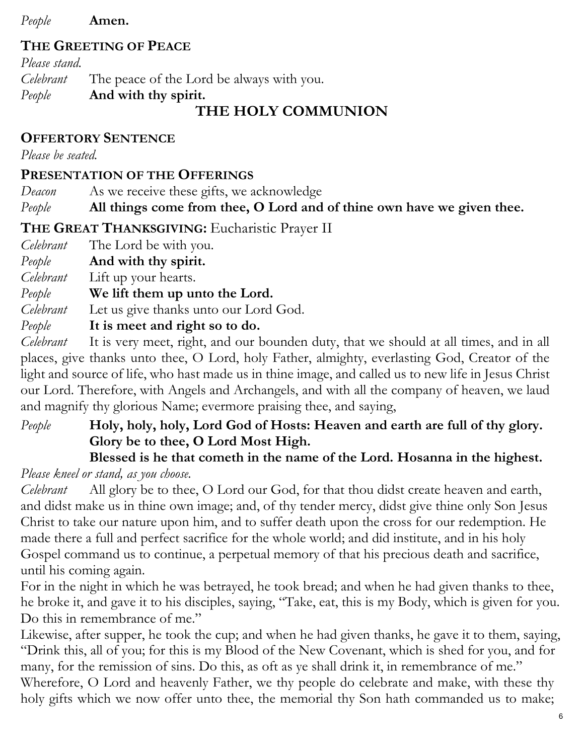*People* **Amen.**

## **THE GREETING OF PEACE**

*Please stand. Celebrant* The peace of the Lord be always with you. *People* **And with thy spirit.**

# **THE HOLY COMMUNION**

## **OFFERTORY SENTENCE**

*Please be seated.*

#### **PRESENTATION OF THE OFFERINGS**

*Deacon* As we receive these gifts, we acknowledge

*People* **All things come from thee, O Lord and of thine own have we given thee.**

**THE GREAT THANKSGIVING:** Eucharistic Prayer II

*Celebrant* The Lord be with you.

*People* **And with thy spirit.**

*Celebrant* Lift up your hearts.

*People* **We lift them up unto the Lord.**

*Celebrant* Let us give thanks unto our Lord God.

*People* **It is meet and right so to do.**

*Celebrant* It is very meet, right, and our bounden duty, that we should at all times, and in all places, give thanks unto thee, O Lord, holy Father, almighty, everlasting God, Creator of the light and source of life, who hast made us in thine image, and called us to new life in Jesus Christ our Lord. Therefore, with Angels and Archangels, and with all the company of heaven, we laud and magnify thy glorious Name; evermore praising thee, and saying,

*People* **Holy, holy, holy, Lord God of Hosts: Heaven and earth are full of thy glory. Glory be to thee, O Lord Most High.** 

# **Blessed is he that cometh in the name of the Lord. Hosanna in the highest.**

*Please kneel or stand, as you choose.*

*Celebrant* All glory be to thee, O Lord our God, for that thou didst create heaven and earth, and didst make us in thine own image; and, of thy tender mercy, didst give thine only Son Jesus Christ to take our nature upon him, and to suffer death upon the cross for our redemption. He made there a full and perfect sacrifice for the whole world; and did institute, and in his holy Gospel command us to continue, a perpetual memory of that his precious death and sacrifice, until his coming again.

For in the night in which he was betrayed, he took bread; and when he had given thanks to thee, he broke it, and gave it to his disciples, saying, "Take, eat, this is my Body, which is given for you. Do this in remembrance of me."

Likewise, after supper, he took the cup; and when he had given thanks, he gave it to them, saying, "Drink this, all of you; for this is my Blood of the New Covenant, which is shed for you, and for many, for the remission of sins. Do this, as oft as ye shall drink it, in remembrance of me."

Wherefore, O Lord and heavenly Father, we thy people do celebrate and make, with these thy holy gifts which we now offer unto thee, the memorial thy Son hath commanded us to make;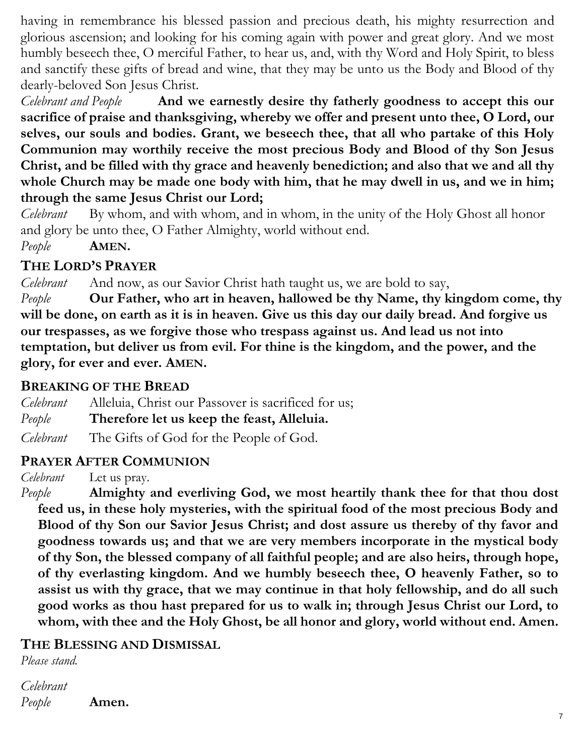having in remembrance his blessed passion and precious death, his mighty resurrection and glorious ascension; and looking for his coming again with power and great glory. And we most humbly beseech thee, O merciful Father, to hear us, and, with thy Word and Holy Spirit, to bless and sanctify these gifts of bread and wine, that they may be unto us the Body and Blood of thy dearly-beloved Son Jesus Christ.

*Celebrant and People* **And we earnestly desire thy fatherly goodness to accept this our sacrifice of praise and thanksgiving, whereby we offer and present unto thee, O Lord, our selves, our souls and bodies. Grant, we beseech thee, that all who partake of this Holy Communion may worthily receive the most precious Body and Blood of thy Son Jesus Christ, and be filled with thy grace and heavenly benediction; and also that we and all thy whole Church may be made one body with him, that he may dwell in us, and we in him; through the same Jesus Christ our Lord;** 

*Celebrant* By whom, and with whom, and in whom, in the unity of the Holy Ghost all honor and glory be unto thee, O Father Almighty, world without end.

*People* **AMEN.**

## **THE LORD'S PRAYER**

*Celebrant* And now, as our Savior Christ hath taught us, we are bold to say,

*People* **Our Father, who art in heaven, hallowed be thy Name, thy kingdom come, thy will be done, on earth as it is in heaven. Give us this day our daily bread. And forgive us our trespasses, as we forgive those who trespass against us. And lead us not into temptation, but deliver us from evil. For thine is the kingdom, and the power, and the glory, for ever and ever. AMEN.**

## **BREAKING OF THE BREAD**

*Celebrant* Alleluia, Christ our Passover is sacrificed for us; *People* **Therefore let us keep the feast, Alleluia.**  *Celebrant* The Gifts of God for the People of God.

## **PRAYER AFTER COMMUNION**

*Celebrant* Let us pray.

*People* **Almighty and everliving God, we most heartily thank thee for that thou dost feed us, in these holy mysteries, with the spiritual food of the most precious Body and Blood of thy Son our Savior Jesus Christ; and dost assure us thereby of thy favor and goodness towards us; and that we are very members incorporate in the mystical body of thy Son, the blessed company of all faithful people; and are also heirs, through hope, of thy everlasting kingdom. And we humbly beseech thee, O heavenly Father, so to assist us with thy grace, that we may continue in that holy fellowship, and do all such good works as thou hast prepared for us to walk in; through Jesus Christ our Lord, to whom, with thee and the Holy Ghost, be all honor and glory, world without end. Amen.**

## **THE BLESSING AND DISMISSAL**

*Please stand.*

*Celebrant People* **Amen.**